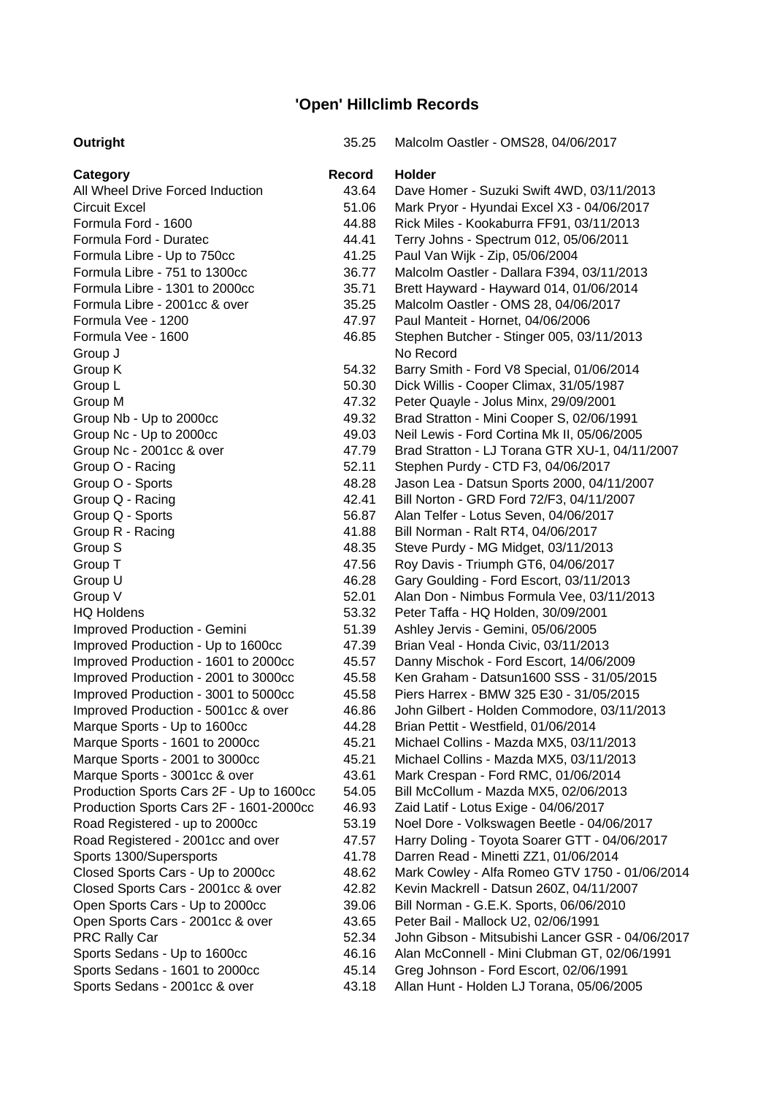## **'Open' Hillclimb Records**

| Outright                                 | 35.25  | Malcolm Oastler - OMS28, 04/06/2017              |
|------------------------------------------|--------|--------------------------------------------------|
| Category                                 | Record | <b>Holder</b>                                    |
| All Wheel Drive Forced Induction         | 43.64  | Dave Homer - Suzuki Swift 4WD, 03/11/2013        |
| <b>Circuit Excel</b>                     | 51.06  | Mark Pryor - Hyundai Excel X3 - 04/06/2017       |
| Formula Ford - 1600                      | 44.88  | Rick Miles - Kookaburra FF91, 03/11/2013         |
| Formula Ford - Duratec                   | 44.41  | Terry Johns - Spectrum 012, 05/06/2011           |
| Formula Libre - Up to 750cc              | 41.25  | Paul Van Wijk - Zip, 05/06/2004                  |
| Formula Libre - 751 to 1300cc            | 36.77  | Malcolm Oastler - Dallara F394, 03/11/2013       |
| Formula Libre - 1301 to 2000cc           | 35.71  | Brett Hayward - Hayward 014, 01/06/2014          |
| Formula Libre - 2001cc & over            | 35.25  | Malcolm Oastler - OMS 28, 04/06/2017             |
| Formula Vee - 1200                       | 47.97  | Paul Manteit - Hornet, 04/06/2006                |
| Formula Vee - 1600                       | 46.85  | Stephen Butcher - Stinger 005, 03/11/2013        |
| Group J                                  |        | No Record                                        |
| Group K                                  | 54.32  | Barry Smith - Ford V8 Special, 01/06/2014        |
| Group L                                  | 50.30  | Dick Willis - Cooper Climax, 31/05/1987          |
| Group M                                  | 47.32  | Peter Quayle - Jolus Minx, 29/09/2001            |
| Group Nb - Up to 2000cc                  | 49.32  | Brad Stratton - Mini Cooper S, 02/06/1991        |
| Group Nc - Up to 2000cc                  | 49.03  | Neil Lewis - Ford Cortina Mk II, 05/06/2005      |
| Group Nc - 2001cc & over                 | 47.79  | Brad Stratton - LJ Torana GTR XU-1, 04/11/2007   |
| Group O - Racing                         | 52.11  | Stephen Purdy - CTD F3, 04/06/2017               |
| Group O - Sports                         | 48.28  | Jason Lea - Datsun Sports 2000, 04/11/2007       |
| Group Q - Racing                         | 42.41  | Bill Norton - GRD Ford 72/F3, 04/11/2007         |
| Group Q - Sports                         | 56.87  | Alan Telfer - Lotus Seven, 04/06/2017            |
| Group R - Racing                         | 41.88  | Bill Norman - Ralt RT4, 04/06/2017               |
| Group S                                  | 48.35  | Steve Purdy - MG Midget, 03/11/2013              |
| Group T                                  | 47.56  | Roy Davis - Triumph GT6, 04/06/2017              |
| Group U                                  | 46.28  | Gary Goulding - Ford Escort, 03/11/2013          |
| Group V                                  | 52.01  | Alan Don - Nimbus Formula Vee, 03/11/2013        |
| <b>HQ Holdens</b>                        | 53.32  | Peter Taffa - HQ Holden, 30/09/2001              |
| Improved Production - Gemini             | 51.39  | Ashley Jervis - Gemini, 05/06/2005               |
| Improved Production - Up to 1600cc       | 47.39  | Brian Veal - Honda Civic, 03/11/2013             |
| Improved Production - 1601 to 2000cc     | 45.57  | Danny Mischok - Ford Escort, 14/06/2009          |
| Improved Production - 2001 to 3000cc     | 45.58  | Ken Graham - Datsun1600 SSS - 31/05/2015         |
| Improved Production - 3001 to 5000cc     | 45.58  | Piers Harrex - BMW 325 E30 - 31/05/2015          |
| Improved Production - 5001cc & over      | 46.86  | John Gilbert - Holden Commodore, 03/11/2013      |
| Marque Sports - Up to 1600cc             | 44.28  | Brian Pettit - Westfield, 01/06/2014             |
| Marque Sports - 1601 to 2000cc           | 45.21  | Michael Collins - Mazda MX5, 03/11/2013          |
| Marque Sports - 2001 to 3000cc           | 45.21  | Michael Collins - Mazda MX5, 03/11/2013          |
| Marque Sports - 3001cc & over            | 43.61  | Mark Crespan - Ford RMC, 01/06/2014              |
| Production Sports Cars 2F - Up to 1600cc | 54.05  | Bill McCollum - Mazda MX5, 02/06/2013            |
|                                          | 46.93  |                                                  |
| Production Sports Cars 2F - 1601-2000cc  |        | Zaid Latif - Lotus Exige - 04/06/2017            |
| Road Registered - up to 2000cc           | 53.19  | Noel Dore - Volkswagen Beetle - 04/06/2017       |
| Road Registered - 2001cc and over        | 47.57  | Harry Doling - Toyota Soarer GTT - 04/06/2017    |
| Sports 1300/Supersports                  | 41.78  | Darren Read - Minetti ZZ1, 01/06/2014            |
| Closed Sports Cars - Up to 2000cc        | 48.62  | Mark Cowley - Alfa Romeo GTV 1750 - 01/06/2014   |
| Closed Sports Cars - 2001cc & over       | 42.82  | Kevin Mackrell - Datsun 260Z, 04/11/2007         |
| Open Sports Cars - Up to 2000cc          | 39.06  | Bill Norman - G.E.K. Sports, 06/06/2010          |
| Open Sports Cars - 2001cc & over         | 43.65  | Peter Bail - Mallock U2, 02/06/1991              |
| <b>PRC Rally Car</b>                     | 52.34  | John Gibson - Mitsubishi Lancer GSR - 04/06/2017 |
| Sports Sedans - Up to 1600cc             | 46.16  | Alan McConnell - Mini Clubman GT, 02/06/1991     |
| Sports Sedans - 1601 to 2000cc           | 45.14  | Greg Johnson - Ford Escort, 02/06/1991           |
| Sports Sedans - 2001cc & over            | 43.18  | Allan Hunt - Holden LJ Torana, 05/06/2005        |